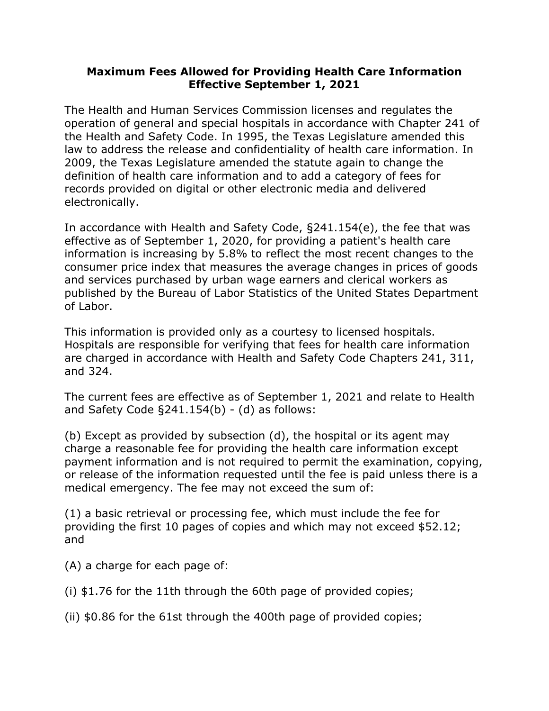## **Maximum Fees Allowed for Providing Health Care Information Effective September 1, 2021**

The Health and Human Services Commission licenses and regulates the operation of general and special hospitals in accordance with Chapter 241 of the Health and Safety Code. In 1995, the Texas Legislature amended this law to address the release and confidentiality of health care information. In 2009, the Texas Legislature amended the statute again to change the definition of health care information and to add a category of fees for records provided on digital or other electronic media and delivered electronically.

In accordance with Health and Safety Code, §241.154(e), the fee that was effective as of September 1, 2020, for providing a patient's health care information is increasing by 5.8% to reflect the most recent changes to the consumer price index that measures the average changes in prices of goods and services purchased by urban wage earners and clerical workers as published by the Bureau of Labor Statistics of the United States Department of Labor.

This information is provided only as a courtesy to licensed hospitals. Hospitals are responsible for verifying that fees for health care information are charged in accordance with Health and Safety Code Chapters 241, 311, and 324.

The current fees are effective as of September 1, 2021 and relate to Health and Safety Code  $\S 241.154(b)$  - (d) as follows:

(b) Except as provided by subsection (d), the hospital or its agent may charge a reasonable fee for providing the health care information except payment information and is not required to permit the examination, copying, or release of the information requested until the fee is paid unless there is a medical emergency. The fee may not exceed the sum of:

(1) a basic retrieval or processing fee, which must include the fee for providing the first 10 pages of copies and which may not exceed \$52.12; and

(A) a charge for each page of:

(i) \$1.76 for the 11th through the 60th page of provided copies;

(ii) \$0.86 for the 61st through the 400th page of provided copies;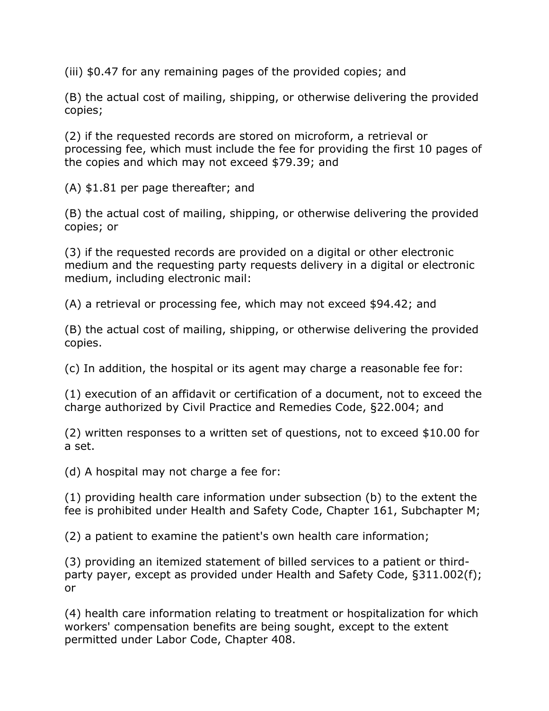(iii) \$0.47 for any remaining pages of the provided copies; and

(B) the actual cost of mailing, shipping, or otherwise delivering the provided copies;

(2) if the requested records are stored on microform, a retrieval or processing fee, which must include the fee for providing the first 10 pages of the copies and which may not exceed \$79.39; and

(A) \$1.81 per page thereafter; and

(B) the actual cost of mailing, shipping, or otherwise delivering the provided copies; or

(3) if the requested records are provided on a digital or other electronic medium and the requesting party requests delivery in a digital or electronic medium, including electronic mail:

(A) a retrieval or processing fee, which may not exceed \$94.42; and

(B) the actual cost of mailing, shipping, or otherwise delivering the provided copies.

(c) In addition, the hospital or its agent may charge a reasonable fee for:

(1) execution of an affidavit or certification of a document, not to exceed the charge authorized by Civil Practice and Remedies Code, §22.004; and

(2) written responses to a written set of questions, not to exceed \$10.00 for a set.

(d) A hospital may not charge a fee for:

(1) providing health care information under subsection (b) to the extent the fee is prohibited under Health and Safety Code, Chapter 161, Subchapter M;

(2) a patient to examine the patient's own health care information;

(3) providing an itemized statement of billed services to a patient or thirdparty payer, except as provided under Health and Safety Code, §311.002(f); or

(4) health care information relating to treatment or hospitalization for which workers' compensation benefits are being sought, except to the extent permitted under Labor Code, Chapter 408.